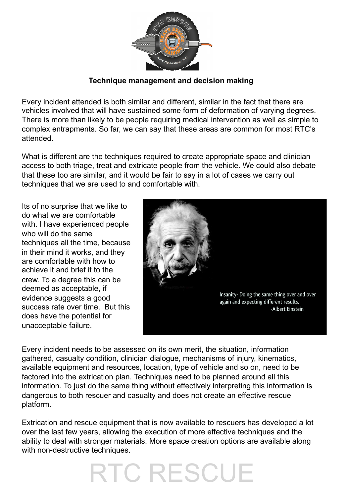

## **Technique management and decision making**

Every incident attended is both similar and different, similar in the fact that there are vehicles involved that will have sustained some form of deformation of varying degrees. There is more than likely to be people requiring medical intervention as well as simple to complex entrapments. So far, we can say that these areas are common for most RTC's attended.

What is different are the techniques required to create appropriate space and clinician access to both triage, treat and extricate people from the vehicle. We could also debate that these too are similar, and it would be fair to say in a lot of cases we carry out techniques that we are used to and comfortable with.

Its of no surprise that we like to do what we are comfortable with. I have experienced people who will do the same techniques all the time, because in their mind it works, and they are comfortable with how to achieve it and brief it to the crew. To a degree this can be deemed as acceptable, if evidence suggests a good success rate over time. But this does have the potential for unacceptable failure.



Every incident needs to be assessed on its own merit, the situation, information gathered, casualty condition, clinician dialogue, mechanisms of injury, kinematics, available equipment and resources, location, type of vehicle and so on, need to be factored into the extrication plan. Techniques need to be planned around all this information. To just do the same thing without effectively interpreting this information is dangerous to both rescuer and casualty and does not create an effective rescue platform.

Extrication and rescue equipment that is now available to rescuers has developed a lot over the last few years, allowing the execution of more effective techniques and the ability to deal with stronger materials. More space creation options are available along with non-destructive techniques.

## RTC RESCUE